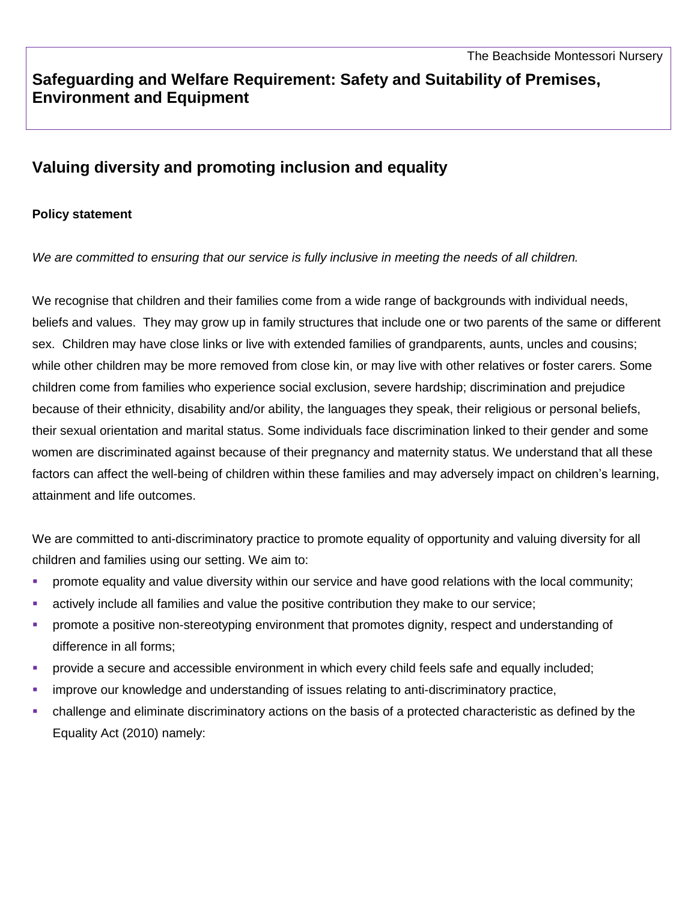# **Safeguarding and Welfare Requirement: Safety and Suitability of Premises, Environment and Equipment**

# **Valuing diversity and promoting inclusion and equality**

### **Policy statement**

*We are committed to ensuring that our service is fully inclusive in meeting the needs of all children.*

We recognise that children and their families come from a wide range of backgrounds with individual needs, beliefs and values. They may grow up in family structures that include one or two parents of the same or different sex. Children may have close links or live with extended families of grandparents, aunts, uncles and cousins; while other children may be more removed from close kin, or may live with other relatives or foster carers. Some children come from families who experience social exclusion, severe hardship; discrimination and prejudice because of their ethnicity, disability and/or ability, the languages they speak, their religious or personal beliefs, their sexual orientation and marital status. Some individuals face discrimination linked to their gender and some women are discriminated against because of their pregnancy and maternity status. We understand that all these factors can affect the well-being of children within these families and may adversely impact on children's learning, attainment and life outcomes.

We are committed to anti-discriminatory practice to promote equality of opportunity and valuing diversity for all children and families using our setting. We aim to:

- **•** promote equality and value diversity within our service and have good relations with the local community;
- actively include all families and value the positive contribution they make to our service;
- promote a positive non-stereotyping environment that promotes dignity, respect and understanding of difference in all forms;
- provide a secure and accessible environment in which every child feels safe and equally included;
- **EXED** improve our knowledge and understanding of issues relating to anti-discriminatory practice,
- challenge and eliminate discriminatory actions on the basis of a protected characteristic as defined by the Equality Act (2010) namely: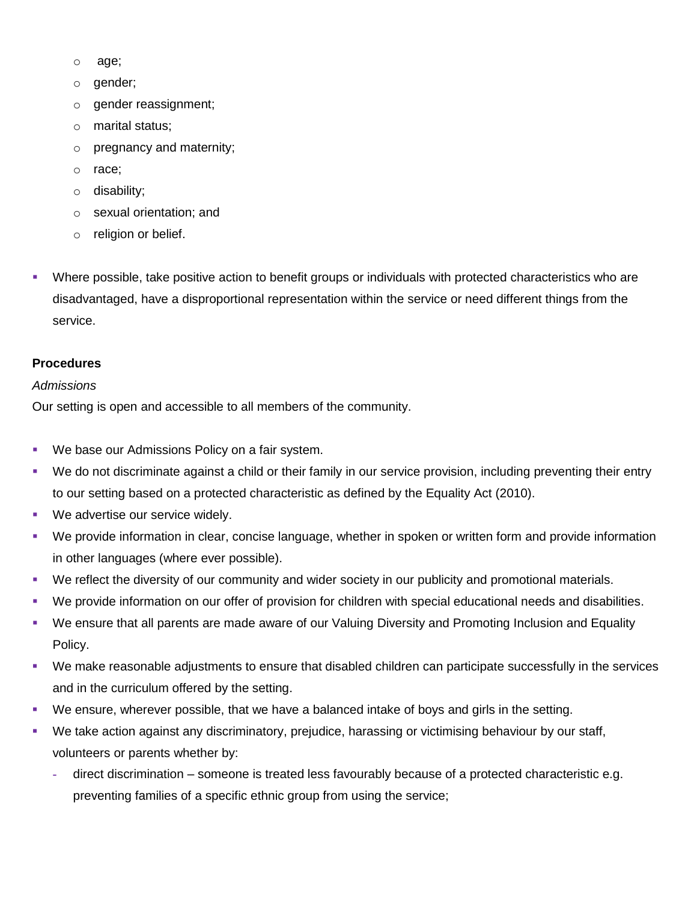- o age;
- o gender;
- o gender reassignment;
- o marital status;
- o pregnancy and maternity;
- o race;
- o disability;
- o sexual orientation; and
- o religion or belief.
- Where possible, take positive action to benefit groups or individuals with protected characteristics who are disadvantaged, have a disproportional representation within the service or need different things from the service.

### **Procedures**

### *Admissions*

Our setting is open and accessible to all members of the community.

- We base our Admissions Policy on a fair system.
- We do not discriminate against a child or their family in our service provision, including preventing their entry to our setting based on a protected characteristic as defined by the Equality Act (2010).
- **We advertise our service widely.**
- We provide information in clear, concise language, whether in spoken or written form and provide information in other languages (where ever possible).
- We reflect the diversity of our community and wider society in our publicity and promotional materials.
- We provide information on our offer of provision for children with special educational needs and disabilities.
- We ensure that all parents are made aware of our Valuing Diversity and Promoting Inclusion and Equality Policy.
- We make reasonable adjustments to ensure that disabled children can participate successfully in the services and in the curriculum offered by the setting.
- We ensure, wherever possible, that we have a balanced intake of boys and girls in the setting.
- We take action against any discriminatory, prejudice, harassing or victimising behaviour by our staff, volunteers or parents whether by:
	- **-** direct discrimination someone is treated less favourably because of a protected characteristic e.g. preventing families of a specific ethnic group from using the service;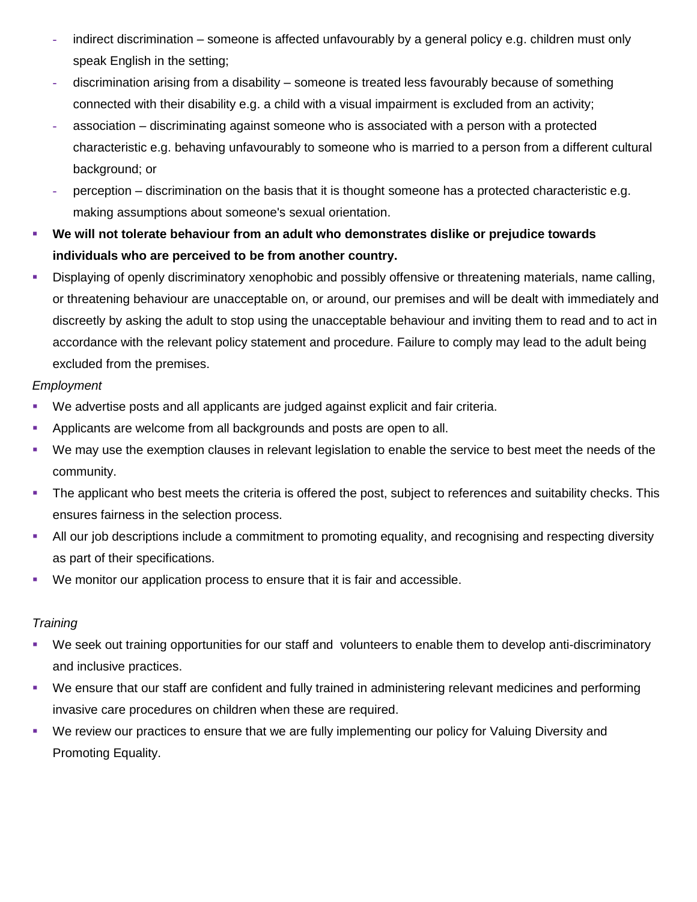- **-** indirect discrimination someone is affected unfavourably by a general policy e.g. children must only speak English in the setting;
- **-** discrimination arising from a disability someone is treated less favourably because of something connected with their disability e.g. a child with a visual impairment is excluded from an activity;
- **-** association discriminating against someone who is associated with a person with a protected characteristic e.g. behaving unfavourably to someone who is married to a person from a different cultural background; or
- **-** perception discrimination on the basis that it is thought someone has a protected characteristic e.g. making assumptions about someone's sexual orientation.
- **We will not tolerate behaviour from an adult who demonstrates dislike or prejudice towards individuals who are perceived to be from another country.**
- Displaying of openly discriminatory xenophobic and possibly offensive or threatening materials, name calling, or threatening behaviour are unacceptable on, or around, our premises and will be dealt with immediately and discreetly by asking the adult to stop using the unacceptable behaviour and inviting them to read and to act in accordance with the relevant policy statement and procedure. Failure to comply may lead to the adult being excluded from the premises.

## *Employment*

- We advertise posts and all applicants are judged against explicit and fair criteria.
- **Applicants are welcome from all backgrounds and posts are open to all.**
- We may use the exemption clauses in relevant legislation to enable the service to best meet the needs of the community.
- The applicant who best meets the criteria is offered the post, subject to references and suitability checks. This ensures fairness in the selection process.
- All our job descriptions include a commitment to promoting equality, and recognising and respecting diversity as part of their specifications.
- We monitor our application process to ensure that it is fair and accessible.

# *Training*

- We seek out training opportunities for our staff and volunteers to enable them to develop anti-discriminatory and inclusive practices.
- We ensure that our staff are confident and fully trained in administering relevant medicines and performing invasive care procedures on children when these are required.
- We review our practices to ensure that we are fully implementing our policy for Valuing Diversity and Promoting Equality.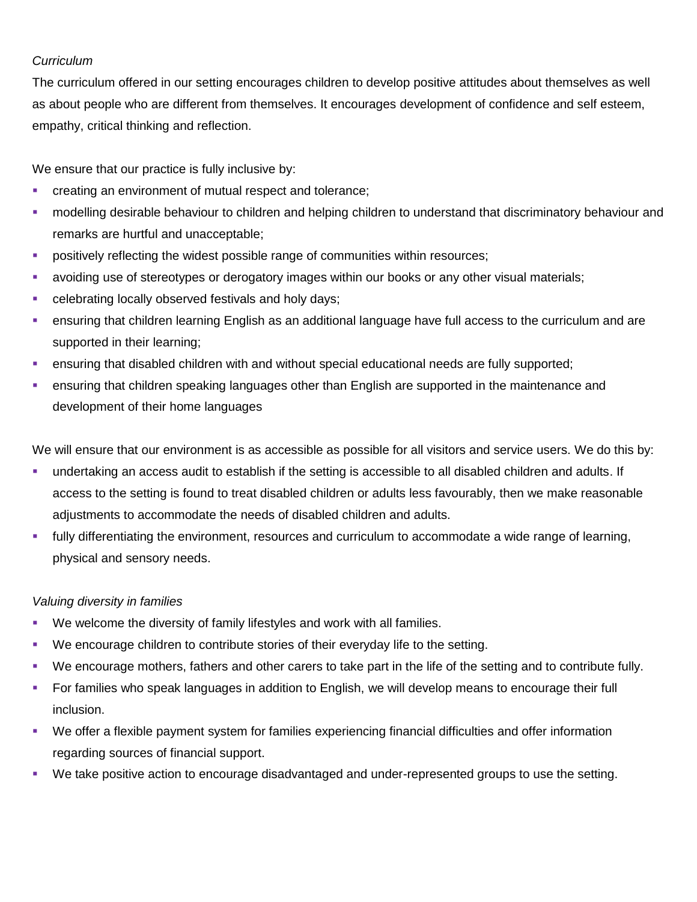### *Curriculum*

The curriculum offered in our setting encourages children to develop positive attitudes about themselves as well as about people who are different from themselves. It encourages development of confidence and self esteem, empathy, critical thinking and reflection.

We ensure that our practice is fully inclusive by:

- **creating an environment of mutual respect and tolerance;**
- modelling desirable behaviour to children and helping children to understand that discriminatory behaviour and remarks are hurtful and unacceptable;
- **Pasitively reflecting the widest possible range of communities within resources;**
- avoiding use of stereotypes or derogatory images within our books or any other visual materials;
- **EXEC** celebrating locally observed festivals and holy days;
- ensuring that children learning English as an additional language have full access to the curriculum and are supported in their learning;
- ensuring that disabled children with and without special educational needs are fully supported;
- ensuring that children speaking languages other than English are supported in the maintenance and development of their home languages

We will ensure that our environment is as accessible as possible for all visitors and service users. We do this by:

- undertaking an access audit to establish if the setting is accessible to all disabled children and adults. If access to the setting is found to treat disabled children or adults less favourably, then we make reasonable adjustments to accommodate the needs of disabled children and adults.
- fully differentiating the environment, resources and curriculum to accommodate a wide range of learning, physical and sensory needs.

## *Valuing diversity in families*

- We welcome the diversity of family lifestyles and work with all families.
- We encourage children to contribute stories of their everyday life to the setting.
- We encourage mothers, fathers and other carers to take part in the life of the setting and to contribute fully.
- For families who speak languages in addition to English, we will develop means to encourage their full inclusion.
- We offer a flexible payment system for families experiencing financial difficulties and offer information regarding sources of financial support.
- We take positive action to encourage disadvantaged and under-represented groups to use the setting.